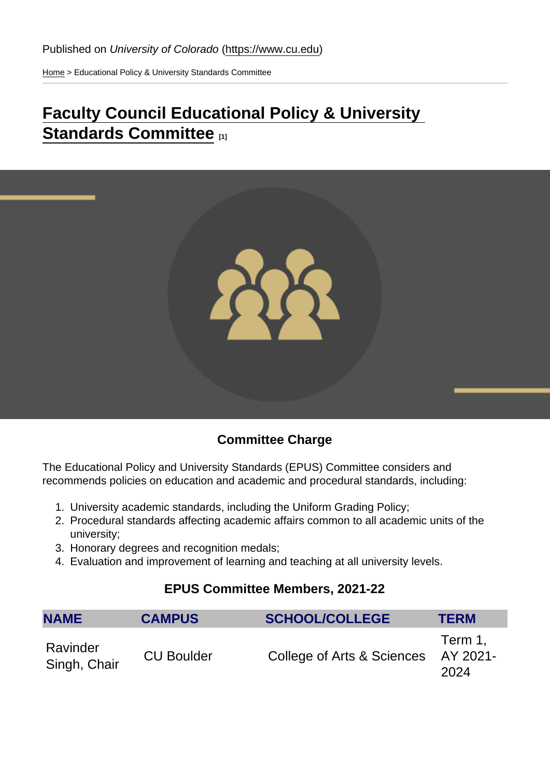[Home](https://www.cu.edu/) > Educational Policy & University Standards Committee

# [Faculty Council Educational Policy & University](https://www.cu.edu/faculty/faculty-council-educational-policy-and-university-standards-committee)  [Standards Committee](https://www.cu.edu/faculty/faculty-council-educational-policy-and-university-standards-committee) [1]

### Committee Charge

The Educational Policy and University Standards (EPUS) Committee considers and recommends policies on education and academic and procedural standards, including:

- 1. University academic standards, including the Uniform Grading Policy;
- 2. Procedural standards affecting academic affairs common to all academic units of the university;
- 3. Honorary degrees and recognition medals;
- 4. Evaluation and improvement of learning and teaching at all university levels.

#### EPUS Committee Members, 2021-22

| <b>NAME</b>              | <b>CAMPUS</b>     | SCHOOL/COLLEGE             | <b>TERM</b>                 |
|--------------------------|-------------------|----------------------------|-----------------------------|
| Ravinder<br>Singh, Chair | <b>CU Boulder</b> | College of Arts & Sciences | Term 1.<br>AY 2021-<br>2024 |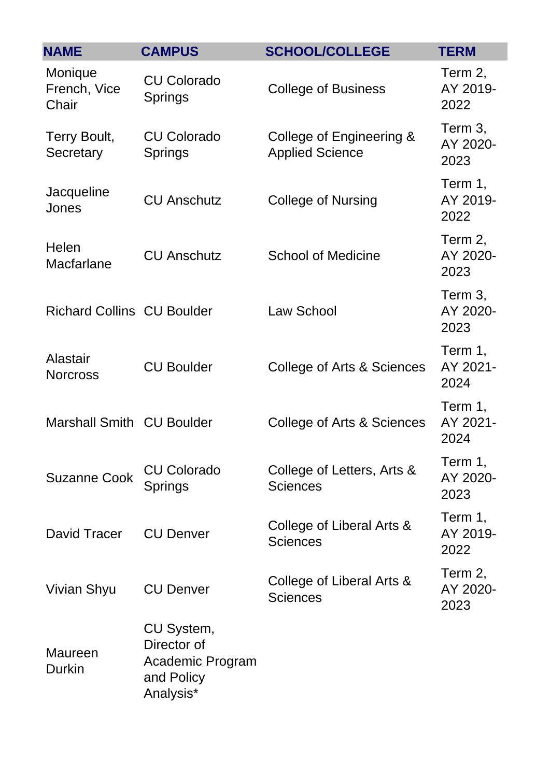| <b>NAME</b>                       | <b>CAMPUS</b>                                                            | <b>SCHOOL/COLLEGE</b>                              | <b>TERM</b>                 |
|-----------------------------------|--------------------------------------------------------------------------|----------------------------------------------------|-----------------------------|
| Monique<br>French, Vice<br>Chair  | <b>CU Colorado</b><br><b>Springs</b>                                     | <b>College of Business</b>                         | Term 2,<br>AY 2019-<br>2022 |
| Terry Boult,<br>Secretary         | <b>CU Colorado</b><br><b>Springs</b>                                     | College of Engineering &<br><b>Applied Science</b> | Term 3,<br>AY 2020-<br>2023 |
| Jacqueline<br>Jones               | <b>CU Anschutz</b>                                                       | <b>College of Nursing</b>                          | Term 1,<br>AY 2019-<br>2022 |
| Helen<br>Macfarlane               | <b>CU Anschutz</b>                                                       | <b>School of Medicine</b>                          | Term 2,<br>AY 2020-<br>2023 |
| <b>Richard Collins CU Boulder</b> |                                                                          | Law School                                         | Term 3,<br>AY 2020-<br>2023 |
| Alastair<br><b>Norcross</b>       | <b>CU Boulder</b>                                                        | College of Arts & Sciences                         | Term 1,<br>AY 2021-<br>2024 |
| <b>Marshall Smith CU Boulder</b>  |                                                                          | College of Arts & Sciences                         | Term 1,<br>AY 2021-<br>2024 |
| <b>Suzanne Cook</b>               | <b>CU Colorado</b><br>Springs                                            | College of Letters, Arts &<br><b>Sciences</b>      | Term 1,<br>AY 2020-<br>2023 |
| David Tracer                      | <b>CU Denver</b>                                                         | College of Liberal Arts &<br><b>Sciences</b>       | Term 1,<br>AY 2019-<br>2022 |
| Vivian Shyu                       | <b>CU Denver</b>                                                         | College of Liberal Arts &<br><b>Sciences</b>       | Term 2,<br>AY 2020-<br>2023 |
| <b>Maureen</b><br><b>Durkin</b>   | CU System,<br>Director of<br>Academic Program<br>and Policy<br>Analysis* |                                                    |                             |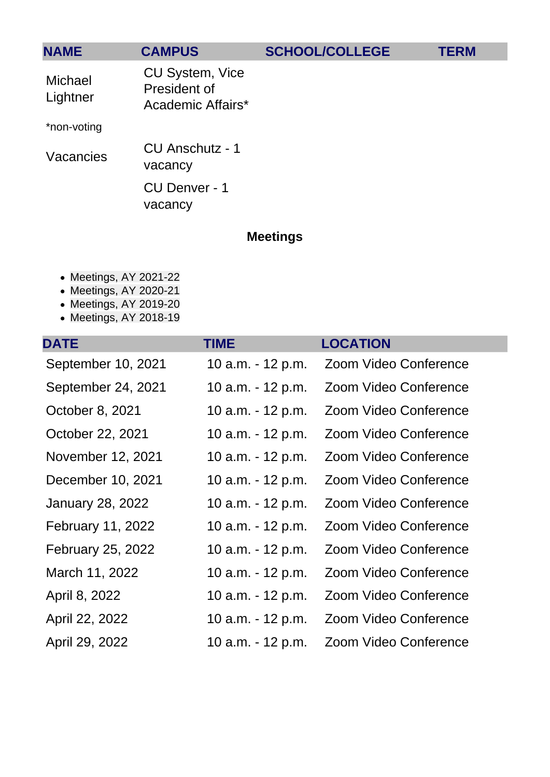| <b>NAME</b>         | <b>CAMPUS</b>                                        | <b>SCHOOL/COLLEGE</b> | <b>TERM</b> |
|---------------------|------------------------------------------------------|-----------------------|-------------|
| Michael<br>Lightner | CU System, Vice<br>President of<br>Academic Affairs* |                       |             |
| *non-voting         |                                                      |                       |             |
| Vacancies           | CU Anschutz - 1<br>vacancy                           |                       |             |
|                     | CU Denver - 1<br>vacancy                             |                       |             |

## Meetings

- Meetings, AY 2021-22
- Meetings, AY 2020-21
- Meetings, AY 2019-20
- [Meetings, AY 2018-19](#page-6-0)

| <b>DATE</b>              | <b>TIME</b>       | <b>LOCATION</b>       |
|--------------------------|-------------------|-----------------------|
| September 10, 2021       | 10 a.m. - 12 p.m. | Zoom Video Conference |
| September 24, 2021       | 10 a.m. - 12 p.m. | Zoom Video Conference |
| October 8, 2021          | 10 a.m. - 12 p.m. | Zoom Video Conference |
| October 22, 2021         | 10 a.m. - 12 p.m. | Zoom Video Conference |
| November 12, 2021        | 10 a.m. - 12 p.m. | Zoom Video Conference |
| December 10, 2021        | 10 a.m. - 12 p.m. | Zoom Video Conference |
| <b>January 28, 2022</b>  | 10 a.m. - 12 p.m. | Zoom Video Conference |
| February 11, 2022        | 10 a.m. - 12 p.m. | Zoom Video Conference |
| <b>February 25, 2022</b> | 10 a.m. - 12 p.m. | Zoom Video Conference |
| March 11, 2022           | 10 a.m. - 12 p.m. | Zoom Video Conference |
| April 8, 2022            | 10 a.m. - 12 p.m. | Zoom Video Conference |
| April 22, 2022           | 10 a.m. - 12 p.m. | Zoom Video Conference |
| April 29, 2022           | 10 a.m. - 12 p.m. | Zoom Video Conference |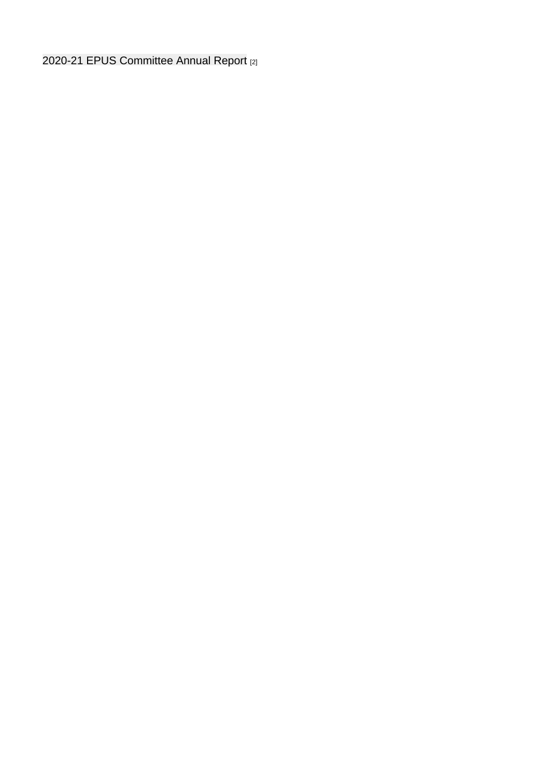[2020-21 EPUS Committee Annual Report](https://www.cu.edu/doc/epus-committee-annual-report-ay-2020-21pdf-1) [2]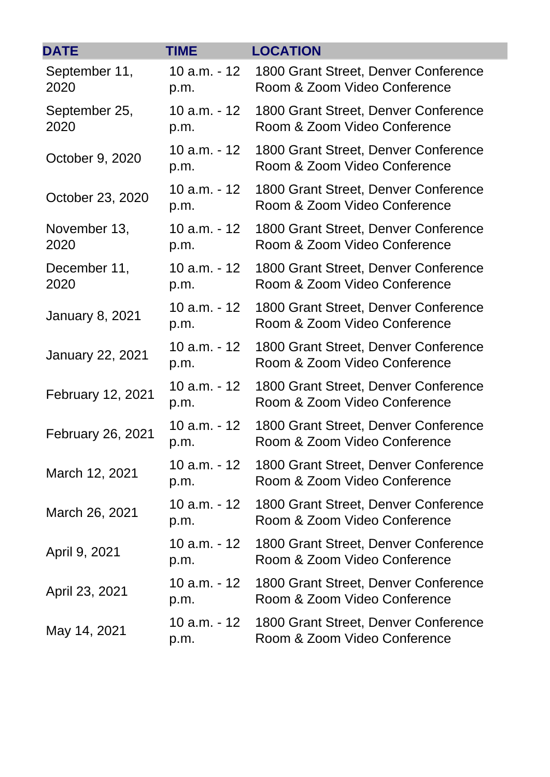| <b>DATE</b>             | <b>TIME</b>            | <b>LOCATION</b>                                                      |
|-------------------------|------------------------|----------------------------------------------------------------------|
| September 11,<br>2020   | 10 a.m. - 12<br>p.m.   | 1800 Grant Street, Denver Conference<br>Room & Zoom Video Conference |
| September 25,<br>2020   | 10 a.m. - 12<br>p.m.   | 1800 Grant Street, Denver Conference<br>Room & Zoom Video Conference |
| October 9, 2020         | $10 a.m. - 12$<br>p.m. | 1800 Grant Street, Denver Conference<br>Room & Zoom Video Conference |
| October 23, 2020        | 10 a.m. - 12<br>p.m.   | 1800 Grant Street, Denver Conference<br>Room & Zoom Video Conference |
| November 13,<br>2020    | $10 a.m. - 12$<br>p.m. | 1800 Grant Street, Denver Conference<br>Room & Zoom Video Conference |
| December 11,<br>2020    | 10 a.m. - 12<br>p.m.   | 1800 Grant Street, Denver Conference<br>Room & Zoom Video Conference |
| <b>January 8, 2021</b>  | $10 a.m. - 12$<br>p.m. | 1800 Grant Street, Denver Conference<br>Room & Zoom Video Conference |
| <b>January 22, 2021</b> | 10 a.m. - 12<br>p.m.   | 1800 Grant Street, Denver Conference<br>Room & Zoom Video Conference |
| February 12, 2021       | 10 a.m. - 12<br>p.m.   | 1800 Grant Street, Denver Conference<br>Room & Zoom Video Conference |
| February 26, 2021       | 10 a.m. - 12<br>p.m.   | 1800 Grant Street, Denver Conference<br>Room & Zoom Video Conference |
| March 12, 2021          | 10 a.m. - 12<br>p.m.   | 1800 Grant Street, Denver Conference<br>Room & Zoom Video Conference |
| March 26, 2021          | $10 a.m. - 12$<br>p.m. | 1800 Grant Street, Denver Conference<br>Room & Zoom Video Conference |
| April 9, 2021           | $10 a.m. - 12$<br>p.m. | 1800 Grant Street, Denver Conference<br>Room & Zoom Video Conference |
| April 23, 2021          | 10 a.m. - 12<br>p.m.   | 1800 Grant Street, Denver Conference<br>Room & Zoom Video Conference |
| May 14, 2021            | 10 a.m. - 12<br>p.m.   | 1800 Grant Street, Denver Conference<br>Room & Zoom Video Conference |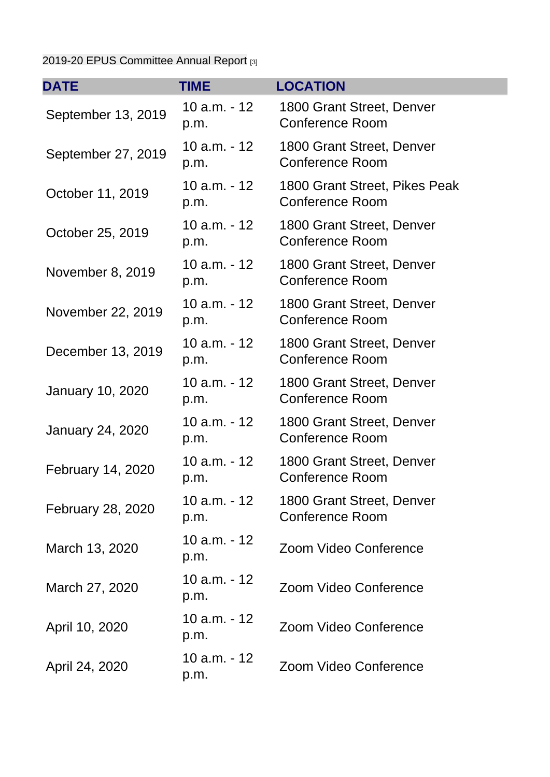## [2019-20 EPUS Committee Annual Report](https://www.cu.edu/doc/epus-annual-report-ay-2019-209pdf-1) [3]

| <b>DATE</b>             | TIME                   | <b>LOCATION</b>                                         |
|-------------------------|------------------------|---------------------------------------------------------|
| September 13, 2019      | 10 $a.m. - 12$<br>p.m. | 1800 Grant Street, Denver<br>Conference Room            |
| September 27, 2019      | 10 a.m. - 12<br>p.m.   | 1800 Grant Street, Denver<br><b>Conference Room</b>     |
| October 11, 2019        | 10 $a.m. - 12$<br>p.m. | 1800 Grant Street, Pikes Peak<br><b>Conference Room</b> |
| October 25, 2019        | 10 $a.m. - 12$<br>p.m. | 1800 Grant Street, Denver<br>Conference Room            |
| November 8, 2019        | $10 a.m. - 12$<br>p.m. | 1800 Grant Street, Denver<br><b>Conference Room</b>     |
| November 22, 2019       | 10 $a.m. - 12$<br>p.m. | 1800 Grant Street, Denver<br>Conference Room            |
| December 13, 2019       | $10 a.m. - 12$<br>p.m. | 1800 Grant Street, Denver<br><b>Conference Room</b>     |
| January 10, 2020        | 10 $a.m. - 12$<br>p.m. | 1800 Grant Street, Denver<br><b>Conference Room</b>     |
| <b>January 24, 2020</b> | $10 a.m. - 12$<br>p.m. | 1800 Grant Street, Denver<br><b>Conference Room</b>     |
| February 14, 2020       | $10 a.m. - 12$<br>p.m. | 1800 Grant Street, Denver<br><b>Conference Room</b>     |
| February 28, 2020       | 10 a.m. - 12<br>p.m.   | 1800 Grant Street, Denver<br><b>Conference Room</b>     |
| March 13, 2020          | 10 a.m. - 12<br>p.m.   | Zoom Video Conference                                   |
| March 27, 2020          | 10 a.m. - 12<br>p.m.   | Zoom Video Conference                                   |
| April 10, 2020          | $10 a.m. - 12$<br>p.m. | Zoom Video Conference                                   |
| April 24, 2020          | $10 a.m. - 12$<br>p.m. | Zoom Video Conference                                   |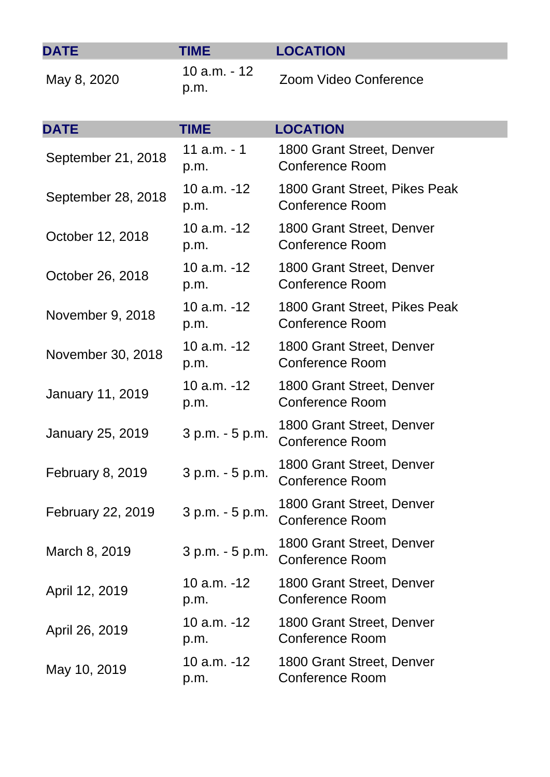<span id="page-6-0"></span>

| <b>DATE</b>             | TIME                   | <b>LOCATION</b>                                         |
|-------------------------|------------------------|---------------------------------------------------------|
| May 8, 2020             | 10 a.m. - 12<br>p.m.   | Zoom Video Conference                                   |
| <b>DATE</b>             | <b>TIME</b>            | <b>LOCATION</b>                                         |
| September 21, 2018      | $11$ a.m. $-1$<br>p.m. | 1800 Grant Street, Denver<br><b>Conference Room</b>     |
| September 28, 2018      | $10 a.m. -12$<br>p.m.  | 1800 Grant Street, Pikes Peak<br><b>Conference Room</b> |
| October 12, 2018        | $10 a.m. -12$<br>p.m.  | 1800 Grant Street, Denver<br><b>Conference Room</b>     |
| October 26, 2018        | $10 a.m. -12$<br>p.m.  | 1800 Grant Street, Denver<br><b>Conference Room</b>     |
| November 9, 2018        | $10 a.m. -12$<br>p.m.  | 1800 Grant Street, Pikes Peak<br><b>Conference Room</b> |
| November 30, 2018       | $10 a.m. -12$<br>p.m.  | 1800 Grant Street, Denver<br><b>Conference Room</b>     |
| <b>January 11, 2019</b> | 10 $a.m. -12$<br>p.m.  | 1800 Grant Street, Denver<br><b>Conference Room</b>     |
| January 25, 2019        | 3 p.m. - 5 p.m.        | 1800 Grant Street, Denver<br><b>Conference Room</b>     |
| <b>February 8, 2019</b> | 3 p.m. - 5 p.m.        | 1800 Grant Street, Denver<br><b>Conference Room</b>     |
| February 22, 2019       | 3 p.m. - 5 p.m.        | 1800 Grant Street, Denver<br><b>Conference Room</b>     |
| March 8, 2019           | 3 p.m. - 5 p.m.        | 1800 Grant Street, Denver<br><b>Conference Room</b>     |
| April 12, 2019          | 10 $a.m. -12$<br>p.m.  | 1800 Grant Street, Denver<br><b>Conference Room</b>     |
| April 26, 2019          | $10 a.m. -12$<br>p.m.  | 1800 Grant Street, Denver<br><b>Conference Room</b>     |
| May 10, 2019            | 10 a.m. -12<br>p.m.    | 1800 Grant Street, Denver<br><b>Conference Room</b>     |